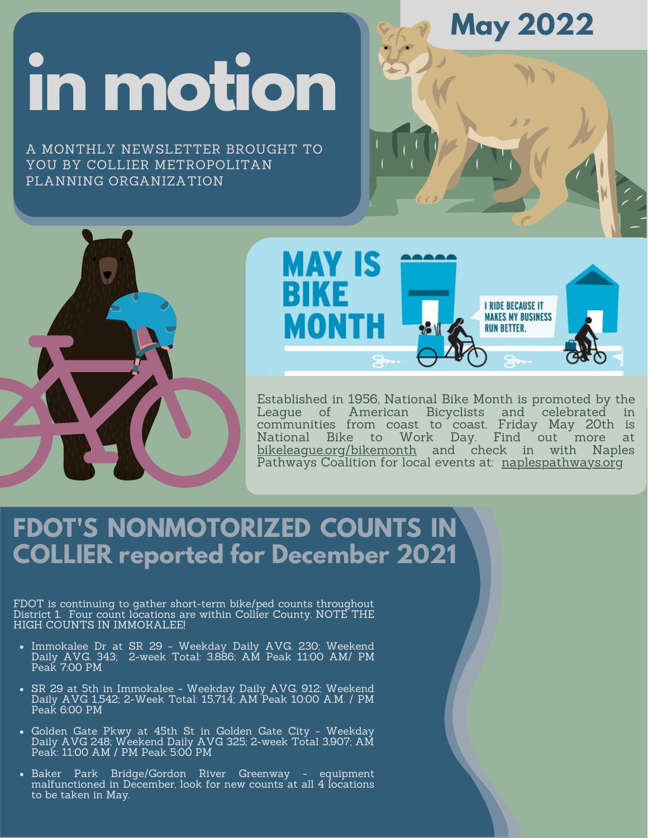**in motion**

A MONTHLY [NEWSLETTER](https://www.colliermpo.org/mpo-calendar-newsletter/) BROUGHT TO YOU BY COLLIER [METROPOLITAN](https://www.colliermpo.org/) PLANNING ORGANIZATION





**May 2022**

Established in 1956, National Bike Month is promoted by the League of American Bicyclists and celebrated in communities from coast to coast. Friday May 20th is National Bike to Work Day. Find out more at [bikeleague.org/bikemonth](http://bikeleague.org/bikemonth) and check in with Naples Pathways Coalition for local events at: [naplespathways.or](http://naplespathways.org/)[g](https://naplespathways.org/)

### **FDOT'S NONMOTORIZED COUNTS IN COLLIER reported for December 2021**

FDOT is continuing to gather short-term bike/ped counts throughout District 1. Four count locations are within Collier County. NOTE THE HIGH COUNTS IN IMMOKALEE!

- Immokalee Dr at SR 29 Weekday Daily AVG. 230; Weekend Daily AVG. 343; 2-week Total: 3,886; AM Peak 11:00 AM/ PM Peak 7:00 PM
- SR 29 at 5th in Immokalee Weekday Daily AVG. 912; Weekend Daily AVG 1,542; 2-Week Total: 15,714; AM Peak 10:00 A.M. / PM Peak 6:00 PM
- Golden Gate Pkwy at 45th St in Golden Gate City Weekday Daily AVG 248; Weekend Daily AVG 325; 2-week Total 3,907; AM Peak: 11:00 AM / PM Peak 5:00 PM
- Baker Park Bridge/Gordon River Greenway equipment malfunctioned in December, look for new counts at all 4 locations to be taken in May.